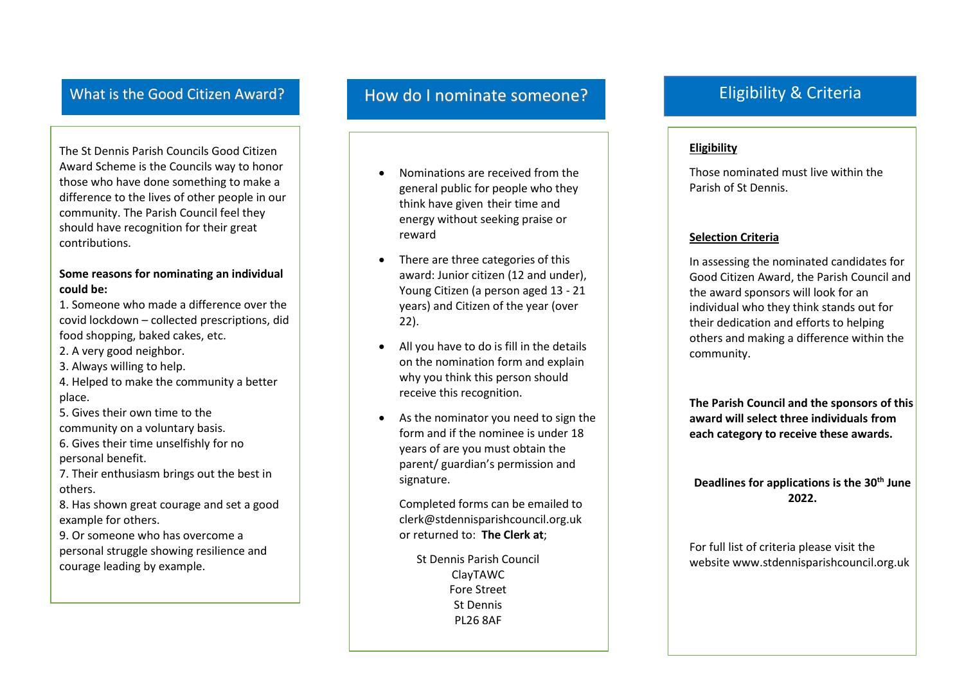The St Dennis Parish Councils Good Citizen Award Scheme is the Councils way to honor those who have done something to make a difference to the lives of other people in our community. The Parish Council feel they should have recognition for their great contributions.

#### **Some reasons for nominating an individual could be:**

1. Someone who made a difference over the covid lockdown – collected prescriptions, did food shopping, baked cakes, etc.

- 2. A very good neighbor.
- 3. Always willing to help.
- 4. Helped to make the community a better place.
- 5. Gives their own time to the community on a voluntary basis.
- 6. Gives their time unselfishly for no personal benefit.

7. Their enthusiasm brings out the best in others.

8. Has shown great courage and set a good example for others.

9. Or someone who has overcome a personal struggle showing resilience and courage leading by example.

### What is the Good Citizen Award? How do I nominate someone?

- Nominations are received from the general public for people who they think have given their time and energy without seeking praise or reward
- There are three categories of this award: Junior citizen (12 and under), Young Citizen (a person aged 13 - 21 years) and Citizen of the year (over 22).
- All you have to do is fill in the details on the nomination form and explain why you think this person should receive this recognition.
- As the nominator you need to sign the form and if the nominee is under 18 years of are you must obtain the parent/ guardian's permission and signature.

Completed forms can be emailed to [clerk@stdennisparishcouncil.org.uk](mailto:clerk@stdennisparishcouncil.org.uk)  or returned to: **The Clerk at**;

St Dennis Parish Council ClayTAWC Fore Street St Dennis PL26 8AF

### Eligibility & Criteria

#### **Eligibility**

Those nominated must live within the Parish of St Dennis.

#### **Selection Criteria**

In assessing the nominated candidates for Good Citizen Award, the Parish Council and the award sponsors will look for an individual who they think stands out for their dedication and efforts to helping others and making a difference within the community.

**The Parish Council and the sponsors of this award will select three individuals from each category to receive these awards.**

**Deadlines for applications is the 30th June 2022.**

For full list of criteria please visit the website www.stdennisparishcouncil.org.uk